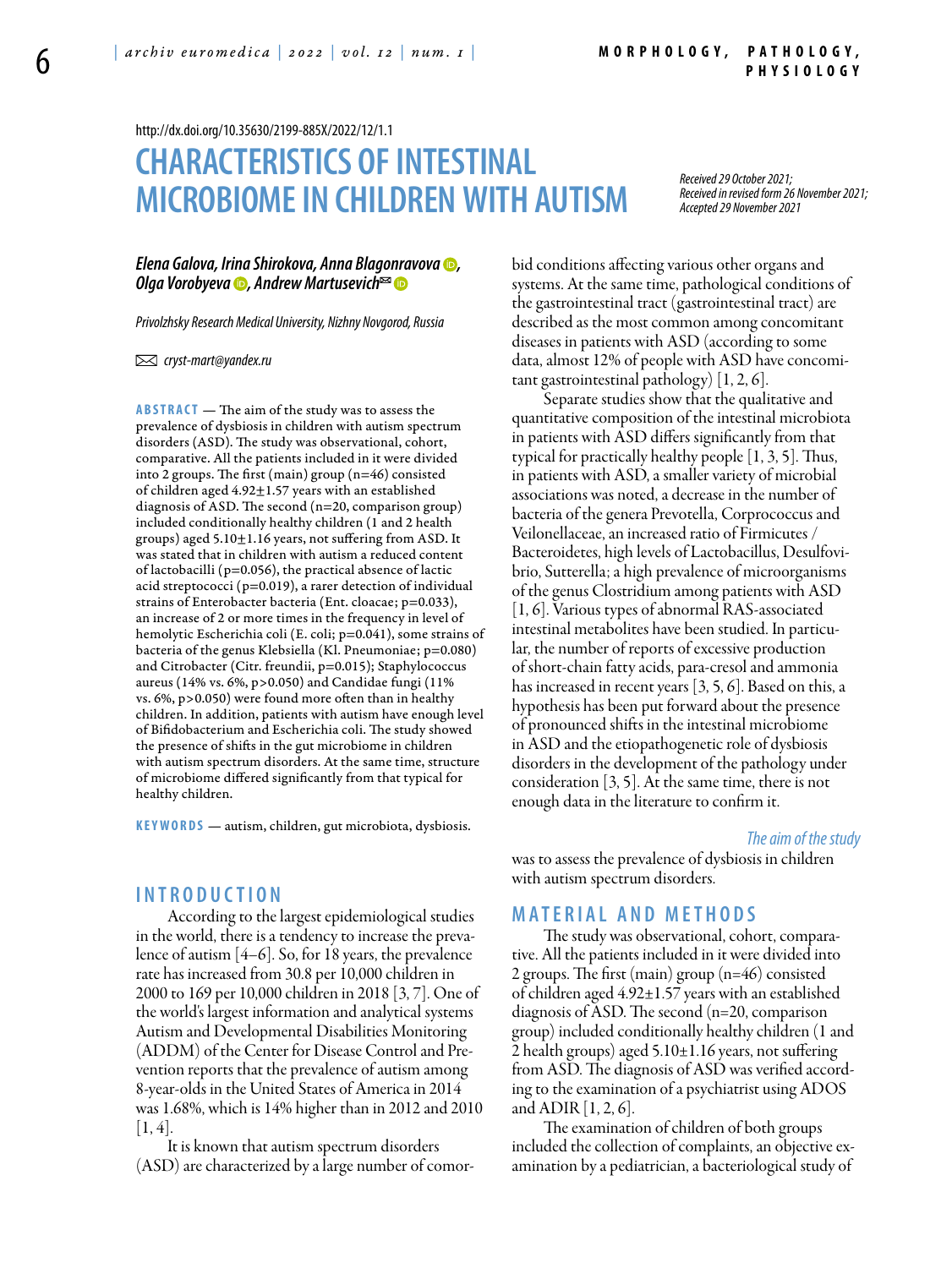<http://dx.doi.org/10.35630/2199-885X/2022/12/1.1>

# **Characteristics of intestinal microbiome in children with autism**

*Received 29 October 2021; Received in revised form 26 November 2021; Accepted 29 November 2021*

#### *Elena Galova, Irina Shirokova, [Anna Blagonravova](https://orcid.org/0000-0002-1467-049X) , [Olga Vorobyeva](https://orcid.org/0000-0001-7225-8842) , [Andrew Martusevich](https://orcid.org/0000-0002-0818-5316)*

*Privolzhsky Research Medical University, Nizhny Novgorod, Russia*

 *cryst-mart@yandex.ru* 

**ABSTRACT** — The aim of the study was to assess the prevalence of dysbiosis in children with autism spectrum disorders (ASD). The study was observational, cohort, comparative. All the patients included in it were divided into 2 groups. The first (main) group (n=46) consisted of children aged  $4.92 \pm 1.57$  years with an established diagnosis of ASD. The second (n=20, comparison group) included conditionally healthy children (1 and 2 health groups) aged 5.10±1.16 years, not suffering from ASD. It was stated that in children with autism a reduced content of lactobacilli (p=0.056), the practical absence of lactic acid streptococci (p=0.019), a rarer detection of individual strains of Enterobacter bacteria (Ent. cloacae; p=0.033), an increase of 2 or more times in the frequency in level of hemolytic Escherichia coli (E. coli; p=0.041), some strains of bacteria of the genus Klebsiella (Kl. Pneumoniae; p=0.080) and Citrobacter (Citr. freundii, p=0.015); Staphylococcus aureus (14% vs. 6%, p>0.050) and Candidae fungi (11% vs. 6%, p>0.050) were found more often than in healthy children. In addition, patients with autism have enough level of Bifidobacterium and Escherichia coli. The study showed the presence of shifts in the gut microbiome in children with autism spectrum disorders. At the same time, structure of microbiome differed significantly from that typical for healthy children.

KEYWORDS — autism, children, gut microbiota, dysbiosis.

# **I n t r o d u ct i o n**

According to the largest epidemiological studies in the world, there is a tendency to increase the prevalence of autism [4–6]. So, for 18 years, the prevalence rate has increased from 30.8 per 10,000 children in 2000 to 169 per 10,000 children in 2018 [3, 7]. One of the world's largest information and analytical systems Autism and Developmental Disabilities Monitoring (ADDM) of the Center for Disease Control and Prevention reports that the prevalence of autism among 8-year-olds in the United States of America in 2014 was 1.68%, which is 14% higher than in 2012 and 2010  $[1, 4]$ .

It is known that autism spectrum disorders (ASD) are characterized by a large number of comorbid conditions affecting various other organs and systems. At the same time, pathological conditions of the gastrointestinal tract (gastrointestinal tract) are described as the most common among concomitant diseases in patients with ASD (according to some data, almost 12% of people with ASD have concomitant gastrointestinal pathology) [1, 2, 6].

Separate studies show that the qualitative and quantitative composition of the intestinal microbiota in patients with ASD differs significantly from that typical for practically healthy people [1, 3, 5]. Thus, in patients with ASD, a smaller variety of microbial associations was noted, a decrease in the number of bacteria of the genera Prevotella, Corprococcus and Veilonellaceae, an increased ratio of Firmicutes / Bacteroidetes, high levels of Lactobacillus, Desulfovibrio, Sutterella; a high prevalence of microorganisms of the genus Clostridium among patients with ASD [1, 6]. Various types of abnormal RAS-associated intestinal metabolites have been studied. In particular, the number of reports of excessive production of short-chain fatty acids, para-cresol and ammonia has increased in recent years [3, 5, 6]. Based on this, a hypothesis has been put forward about the presence of pronounced shifts in the intestinal microbiome in ASD and the etiopathogenetic role of dysbiosis disorders in the development of the pathology under consideration [3, 5]. At the same time, there is not enough data in the literature to confirm it.

#### *The aim of the study*

was to assess the prevalence of dysbiosis in children with autism spectrum disorders.

#### **MATERIAL AND METHODS**

The study was observational, cohort, comparative. All the patients included in it were divided into 2 groups. The first (main) group (n=46) consisted of children aged 4.92±1.57 years with an established diagnosis of ASD. The second (n=20, comparison group) included conditionally healthy children (1 and 2 health groups) aged 5.10±1.16 years, not suffering from ASD. The diagnosis of ASD was verified according to the examination of a psychiatrist using ADOS and ADIR [1, 2, 6].

The examination of children of both groups included the collection of complaints, an objective examination by a pediatrician, a bacteriological study of